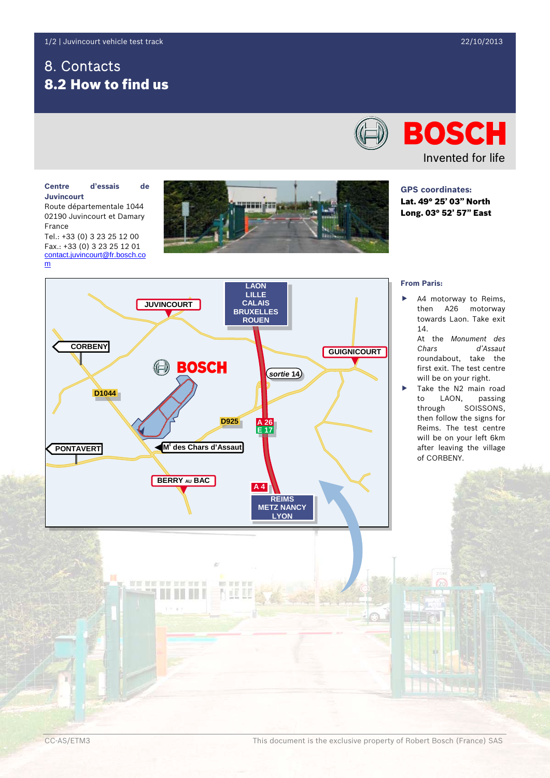# 8. Contacts 8.2 How to find us

# **BOSCH** Invented for life

**GPS coordinates:** Lat. 49° 25' 03" North Long. 03° 52' 57" East

#### **Centre d'essais de Juvincourt**

Route départementale 1044 02190 Juvincourt et Damary France

Tel.: +33 (0) 3 23 25 12 00 Fax.: +33 (0) 3 23 25 12 01 [contact.juvincourt@fr.bosch.co](mailto:contact.juvincourt@fr.bosch.com) [m](mailto:contact.juvincourt@fr.bosch.com)



## **LAON LILLE JUVINCOURT CALAIS BRUXELLES ROUEN CORBENY GUIGNICOURT BOSCH** *sortie* **14 D1044 D925 A 26 E 17 M<sup>t</sup> des Chars d'Assaut PONTAVERT BERRY AU BAC A 4 REIMS METZ NANCY LYON**

**WE WE WE WE WE W** 

### **From Paris:**

- A4 motorway to Reims, then A26 motorway towards Laon. Take exit 14.
	- At the *Monument des Chars d'Assaut* roundabout, take the first exit. The test centre will be on your right.
- Take the N2 main road to LAON, passing through SOISSONS, then follow the signs for Reims. The test centre will be on your left 6km after leaving the village of CORBENY.